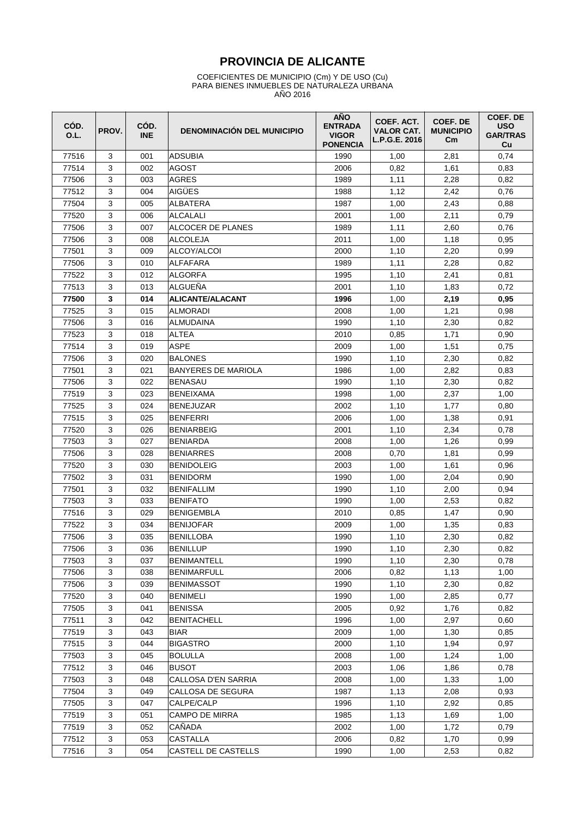# **PROVINCIA DE ALICANTE**

#### COEFICIENTES DE MUNICIPIO (Cm) Y DE USO (Cu) PARA BIENES INMUEBLES DE NATURALEZA URBANA AÑO 2016

| CÓD.<br>O.L. | PROV.        | CÓD.<br><b>INE</b> | <b>DENOMINACIÓN DEL MUNICIPIO</b> | <b>AÑO</b><br><b>ENTRADA</b><br><b>VIGOR</b><br><b>PONENCIA</b> | COEF. ACT.<br><b>VALOR CAT.</b><br>L.P.G.E. 2016 | COEF. DE<br><b>MUNICIPIO</b><br>$\mathsf{c}_{\mathsf{m}}$ | COEF. DE<br><b>USO</b><br><b>GAR/TRAS</b><br>Cu |
|--------------|--------------|--------------------|-----------------------------------|-----------------------------------------------------------------|--------------------------------------------------|-----------------------------------------------------------|-------------------------------------------------|
| 77516        | 3            | 001                | <b>ADSUBIA</b>                    | 1990                                                            | 1,00                                             | 2,81                                                      | 0,74                                            |
| 77514        | 3            | 002                | AGOST                             | 2006                                                            | 0,82                                             | 1,61                                                      | 0,83                                            |
| 77506        | 3            | 003                | <b>AGRES</b>                      | 1989                                                            | 1,11                                             | 2,28                                                      | 0,82                                            |
| 77512        | 3            | 004                | AIGÜES                            | 1988                                                            | 1,12                                             | 2,42                                                      | 0,76                                            |
| 77504        | 3            | 005                | ALBATERA                          | 1987                                                            | 1,00                                             | 2,43                                                      | 0,88                                            |
| 77520        | 3            | 006                | <b>ALCALALI</b>                   | 2001                                                            | 1,00                                             | 2,11                                                      | 0,79                                            |
| 77506        | 3            | 007                | ALCOCER DE PLANES                 | 1989                                                            | 1,11                                             | 2,60                                                      | 0,76                                            |
| 77506        | 3            | 008                | ALCOLEJA                          | 2011                                                            | 1,00                                             | 1,18                                                      | 0,95                                            |
| 77501        | 3            | 009                | ALCOY/ALCOI                       | 2000                                                            | 1,10                                             | 2,20                                                      | 0,99                                            |
| 77506        | 3            | 010                | ALFAFARA                          | 1989                                                            | 1,11                                             | 2,28                                                      | 0,82                                            |
| 77522        | 3            | 012                | ALGORFA                           | 1995                                                            | 1,10                                             | 2,41                                                      | 0,81                                            |
| 77513        | 3            | 013                | ALGUEÑA                           | 2001                                                            | 1,10                                             | 1,83                                                      | 0,72                                            |
| 77500        | 3            | 014                | <b>ALICANTE/ALACANT</b>           | 1996                                                            | 1,00                                             | 2,19                                                      | 0,95                                            |
| 77525        | 3            | 015                | <b>ALMORADI</b>                   | 2008                                                            | 1,00                                             | 1,21                                                      | 0,98                                            |
| 77506        | 3            | 016                | ALMUDAINA                         | 1990                                                            | 1,10                                             | 2,30                                                      | 0,82                                            |
| 77523        | 3            | 018                | ALTEA                             | 2010                                                            | 0,85                                             | 1,71                                                      | 0,90                                            |
| 77514        | 3            | 019                | <b>ASPE</b>                       | 2009                                                            | 1,00                                             | 1,51                                                      | 0,75                                            |
| 77506        | 3            | 020                | <b>BALONES</b>                    | 1990                                                            | 1,10                                             | 2,30                                                      | 0,82                                            |
| 77501        | 3            | 021                | <b>BANYERES DE MARIOLA</b>        | 1986                                                            | 1,00                                             | 2,82                                                      | 0,83                                            |
| 77506        | 3            | 022                | <b>BENASAU</b>                    | 1990                                                            | 1,10                                             | 2,30                                                      | 0,82                                            |
| 77519        | 3            | 023                | <b>BENEIXAMA</b>                  | 1998                                                            | 1,00                                             | 2,37                                                      | 1,00                                            |
| 77525        | 3            | 024                | <b>BENEJUZAR</b>                  | 2002                                                            | 1,10                                             | 1,77                                                      | 0,80                                            |
| 77515        | 3            | 025                | <b>BENFERRI</b>                   | 2006                                                            | 1,00                                             | 1,38                                                      | 0,91                                            |
| 77520        | 3            | 026                | <b>BENIARBEIG</b>                 | 2001                                                            | 1,10                                             | 2,34                                                      | 0,78                                            |
| 77503        | 3            | 027                | <b>BENIARDA</b>                   | 2008                                                            | 1,00                                             | 1,26                                                      | 0,99                                            |
| 77506        | 3            | 028                | <b>BENIARRES</b>                  | 2008                                                            | 0,70                                             | 1,81                                                      | 0,99                                            |
| 77520        | 3            | 030                | <b>BENIDOLEIG</b>                 | 2003                                                            | 1,00                                             | 1,61                                                      | 0,96                                            |
| 77502        | 3            | 031                | <b>BENIDORM</b>                   | 1990                                                            | 1,00                                             | 2,04                                                      | 0,90                                            |
| 77501        | 3            | 032                | <b>BENIFALLIM</b>                 | 1990                                                            | 1,10                                             | 2,00                                                      | 0,94                                            |
| 77503        | 3            | 033                | <b>BENIFATO</b>                   | 1990                                                            | 1,00                                             | 2,53                                                      | 0,82                                            |
| 77516        | 3            | 029                | BENIGEMBLA                        | 2010                                                            | 0,85                                             | 1,47                                                      | 0,90                                            |
| 77522        | 3            | 034                | BENIJOFAR                         | 2009                                                            | 1,00                                             | 1,35                                                      | 0,83                                            |
| 77506        | 3            | 035                | BENILLOBA                         | 1990                                                            | 1,10                                             | 2,30                                                      | 0,82                                            |
| 77506        | 3            | 036                | <b>BENILLUP</b>                   | 1990                                                            | 1,10                                             | 2,30                                                      | 0,82                                            |
| 77503        | 3            | 037                | <b>BENIMANTELL</b>                | 1990                                                            | 1,10                                             | 2,30                                                      | 0,78                                            |
| 77506        | 3            | 038                | <b>BENIMARFULL</b>                | 2006                                                            | 0,82                                             | 1,13                                                      | 1,00                                            |
| 77506        | 3            | 039                | <b>BENIMASSOT</b>                 | 1990                                                            | 1,10                                             | 2,30                                                      | 0,82                                            |
| 77520        | 3            | 040                | <b>BENIMELI</b>                   | 1990                                                            | 1,00                                             | 2,85                                                      | 0,77                                            |
| 77505        | 3            | 041                | <b>BENISSA</b>                    | 2005                                                            | 0,92                                             | 1,76                                                      | 0,82                                            |
| 77511        | 3            | 042                | <b>BENITACHELL</b>                | 1996                                                            | 1,00                                             | 2,97                                                      | 0,60                                            |
| 77519        | 3            | 043                | <b>BIAR</b>                       | 2009                                                            | 1,00                                             | 1,30                                                      | 0,85                                            |
| 77515        | 3            | 044                | <b>BIGASTRO</b>                   | 2000                                                            | 1,10                                             | 1,94                                                      | 0,97                                            |
| 77503        | 3            | 045                | <b>BOLULLA</b>                    | 2008                                                            | 1,00                                             | 1,24                                                      | 1,00                                            |
| 77512        | 3            | 046                | <b>BUSOT</b>                      | 2003                                                            | 1,06                                             | 1,86                                                      | 0,78                                            |
| 77503        | 3            | 048                | CALLOSA D'EN SARRIA               | 2008                                                            | 1,00                                             | 1,33                                                      | 1,00                                            |
| 77504        | 3            | 049                | CALLOSA DE SEGURA                 | 1987                                                            | 1,13                                             | 2,08                                                      | 0,93                                            |
| 77505        | $\mathbf{3}$ | 047                | CALPE/CALP                        | 1996                                                            | 1,10                                             | 2,92                                                      | 0,85                                            |
| 77519        | 3            | 051                | CAMPO DE MIRRA                    | 1985                                                            | 1,13                                             | 1,69                                                      | 1,00                                            |
| 77519        | 3            | 052                | CAÑADA                            | 2002                                                            | 1,00                                             | 1,72                                                      | 0,79                                            |
| 77512        | 3            | 053                | <b>CASTALLA</b>                   | 2006                                                            | 0,82                                             | 1,70                                                      | 0,99                                            |
| 77516        | 3            | 054                | CASTELL DE CASTELLS               | 1990                                                            | 1,00                                             | 2,53                                                      | 0,82                                            |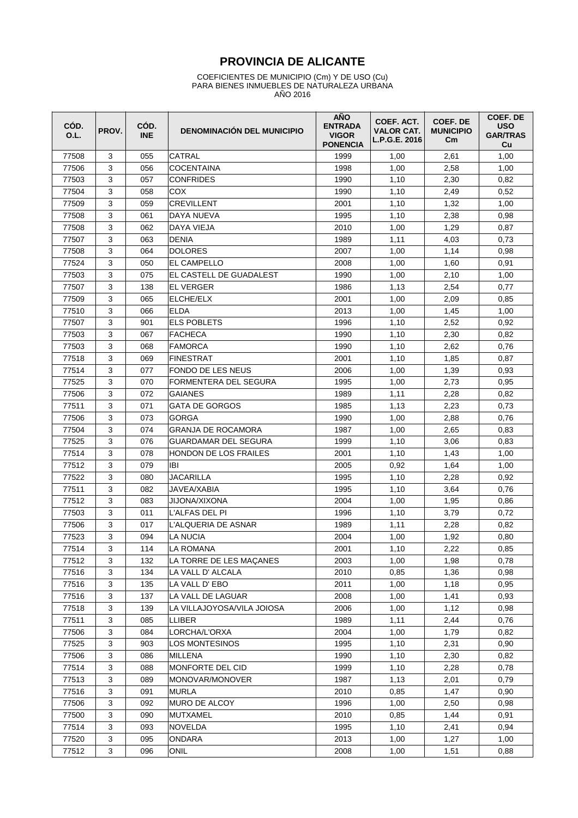# **PROVINCIA DE ALICANTE**

#### COEFICIENTES DE MUNICIPIO (Cm) Y DE USO (Cu) PARA BIENES INMUEBLES DE NATURALEZA URBANA AÑO 2016

| CÓD.<br>O.L. | PROV. | CÓD.<br><b>INE</b> | <b>DENOMINACIÓN DEL MUNICIPIO</b> | <b>AÑO</b><br><b>ENTRADA</b><br><b>VIGOR</b><br><b>PONENCIA</b> | COEF. ACT.<br><b>VALOR CAT.</b><br>L.P.G.E. 2016 | COEF. DE<br><b>MUNICIPIO</b><br>$\mathsf{cm}$ | COEF. DE<br><b>USO</b><br><b>GAR/TRAS</b><br>Cu |
|--------------|-------|--------------------|-----------------------------------|-----------------------------------------------------------------|--------------------------------------------------|-----------------------------------------------|-------------------------------------------------|
| 77508        | 3     | 055                | CATRAL                            | 1999                                                            | 1,00                                             | 2,61                                          | 1,00                                            |
| 77506        | 3     | 056                | COCENTAINA                        | 1998                                                            | 1,00                                             | 2,58                                          | 1,00                                            |
| 77503        | 3     | 057                | <b>CONFRIDES</b>                  | 1990                                                            | 1,10                                             | 2,30                                          | 0,82                                            |
| 77504        | 3     | 058                | COX                               | 1990                                                            | 1,10                                             | 2,49                                          | 0,52                                            |
| 77509        | 3     | 059                | <b>CREVILLENT</b>                 | 2001                                                            | 1,10                                             | 1,32                                          | 1,00                                            |
| 77508        | 3     | 061                | DAYA NUEVA                        | 1995                                                            | 1,10                                             | 2,38                                          | 0,98                                            |
| 77508        | 3     | 062                | DAYA VIEJA                        | 2010                                                            | 1,00                                             | 1,29                                          | 0,87                                            |
| 77507        | 3     | 063                | <b>DENIA</b>                      | 1989                                                            | 1,11                                             | 4,03                                          | 0,73                                            |
| 77508        | 3     | 064                | <b>DOLORES</b>                    | 2007                                                            | 1,00                                             | 1,14                                          | 0,98                                            |
| 77524        | 3     | 050                | EL CAMPELLO                       | 2008                                                            | 1,00                                             | 1,60                                          | 0,91                                            |
| 77503        | 3     | 075                | EL CASTELL DE GUADALEST           | 1990                                                            | 1,00                                             | 2,10                                          | 1,00                                            |
| 77507        | 3     | 138                | <b>EL VERGER</b>                  | 1986                                                            | 1,13                                             | 2,54                                          | 0,77                                            |
| 77509        | 3     | 065                | ELCHE/ELX                         | 2001                                                            | 1,00                                             | 2,09                                          | 0,85                                            |
| 77510        | 3     | 066                | <b>ELDA</b>                       | 2013                                                            | 1,00                                             | 1,45                                          | 1,00                                            |
| 77507        | 3     | 901                | <b>ELS POBLETS</b>                | 1996                                                            | 1,10                                             | 2,52                                          | 0,92                                            |
| 77503        | 3     | 067                | FACHECA                           | 1990                                                            | 1,10                                             | 2,30                                          | 0,82                                            |
| 77503        | 3     | 068                | FAMORCA                           | 1990                                                            | 1,10                                             | 2,62                                          | 0,76                                            |
| 77518        | 3     | 069                | <b>FINESTRAT</b>                  | 2001                                                            | 1,10                                             | 1,85                                          | 0,87                                            |
| 77514        | 3     | 077                | <b>FONDO DE LES NEUS</b>          | 2006                                                            | 1,00                                             | 1,39                                          | 0,93                                            |
| 77525        | 3     | 070                | FORMENTERA DEL SEGURA             | 1995                                                            | 1,00                                             | 2,73                                          | 0,95                                            |
| 77506        | 3     | 072                | <b>GAIANES</b>                    | 1989                                                            | 1,11                                             | 2,28                                          | 0,82                                            |
| 77511        | 3     | 071                | <b>GATA DE GORGOS</b>             | 1985                                                            | 1,13                                             | 2,23                                          | 0,73                                            |
| 77506        | 3     | 073                | <b>GORGA</b>                      | 1990                                                            | 1,00                                             | 2,88                                          | 0,76                                            |
| 77504        | 3     | 074                | <b>GRANJA DE ROCAMORA</b>         | 1987                                                            | 1,00                                             | 2,65                                          | 0,83                                            |
| 77525        | 3     | 076                | GUARDAMAR DEL SEGURA              | 1999                                                            | 1,10                                             | 3,06                                          | 0,83                                            |
| 77514        | 3     | 078                | <b>HONDON DE LOS FRAILES</b>      | 2001                                                            | 1,10                                             | 1,43                                          | 1,00                                            |
| 77512        | 3     | 079                | <b>IBI</b>                        | 2005                                                            | 0,92                                             | 1,64                                          | 1,00                                            |
| 77522        | 3     | 080                | <b>JACARILLA</b>                  | 1995                                                            | 1,10                                             | 2,28                                          | 0,92                                            |
| 77511        | 3     | 082                | <b>JAVEA/XABIA</b>                | 1995                                                            | 1,10                                             | 3,64                                          | 0,76                                            |
| 77512        | 3     | 083                | JIJONA/XIXONA                     | 2004                                                            | 1,00                                             | 1,95                                          | 0,86                                            |
| 77503        | 3     | 011                | L'ALFAS DEL PI                    | 1996                                                            | 1,10                                             | 3,79                                          | 0,72                                            |
| 77506        | 3     | 017                | L'ALQUERIA DE ASNAR               | 1989                                                            | 1,11                                             | 2,28                                          | 0,82                                            |
| 77523        | 3     | 094                | LA NUCIA                          | 2004                                                            | 1,00                                             | 1,92                                          | 0,80                                            |
| 77514        | 3     | 114                | LA ROMANA                         | 2001                                                            | 1,10                                             | 2,22                                          | 0,85                                            |
| 77512        | 3     | 132                | LA TORRE DE LES MAÇANES           | 2003                                                            | 1,00                                             | 1,98                                          | 0,78                                            |
| 77516        | 3     | 134                | LA VALL D' ALCALA                 | 2010                                                            | 0,85                                             | 1,36                                          | 0,98                                            |
| 77516        | 3     | 135                | LA VALL D' EBO                    | 2011                                                            | 1,00                                             | 1,18                                          | 0,95                                            |
| 77516        | 3     | 137                | LA VALL DE LAGUAR                 | 2008                                                            | 1,00                                             | 1,41                                          | 0,93                                            |
| 77518        | 3     | 139                | LA VILLAJOYOSA/VILA JOIOSA        | 2006                                                            | 1,00                                             | 1,12                                          | 0,98                                            |
| 77511        | 3     | 085                | <b>LLIBER</b>                     | 1989                                                            | 1,11                                             | 2,44                                          | 0,76                                            |
| 77506        | 3     | 084                | LORCHA/L'ORXA                     | 2004                                                            | 1,00                                             | 1,79                                          | 0,82                                            |
| 77525        | 3     | 903                | <b>LOS MONTESINOS</b>             | 1995                                                            | 1,10                                             | 2,31                                          | 0,90                                            |
| 77506        | 3     | 086                | MILLENA                           | 1990                                                            | 1,10                                             | 2,30                                          | 0,82                                            |
| 77514        | 3     | 088                | MONFORTE DEL CID                  | 1999                                                            | 1,10                                             | 2,28                                          | 0,78                                            |
| 77513        | 3     | 089                | MONOVAR/MONOVER                   | 1987                                                            | 1,13                                             | 2,01                                          | 0,79                                            |
| 77516        | 3     | 091                | MURLA                             | 2010                                                            | 0,85                                             | 1,47                                          | 0,90                                            |
| 77506        | 3     | 092                | MURO DE ALCOY                     | 1996                                                            | 1,00                                             | 2,50                                          | 0,98                                            |
| 77500        | 3     | 090                | MUTXAMEL                          | 2010                                                            | 0,85                                             | 1,44                                          | 0,91                                            |
| 77514        | 3     | 093                | <b>NOVELDA</b>                    | 1995                                                            | 1,10                                             | 2,41                                          | 0,94                                            |
| 77520        | 3     | 095                | ONDARA                            | 2013                                                            | 1,00                                             | 1,27                                          | 1,00                                            |
| 77512        | 3     | 096                | ONIL                              | 2008                                                            | 1,00                                             | 1,51                                          | 0,88                                            |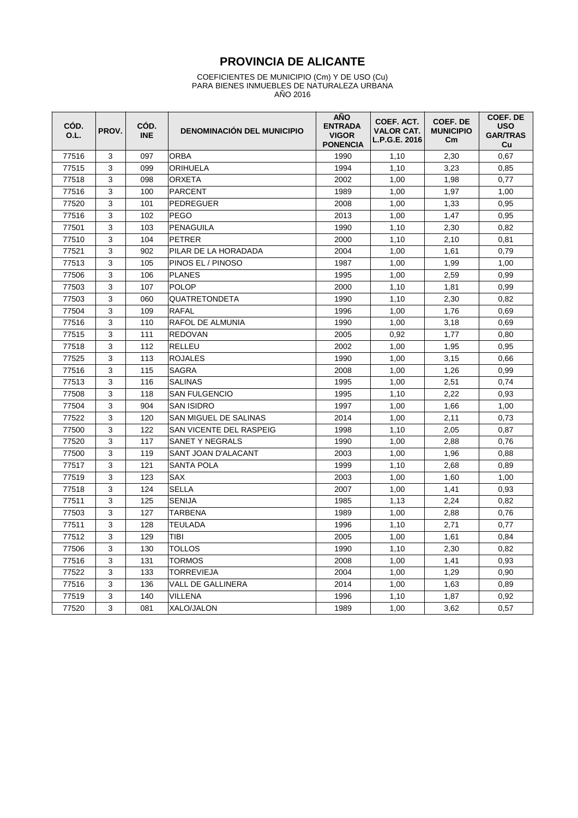# **PROVINCIA DE ALICANTE**

#### COEFICIENTES DE MUNICIPIO (Cm) Y DE USO (Cu) PARA BIENES INMUEBLES DE NATURALEZA URBANA AÑO 2016

| CÓD.<br>O.L. | PROV. | CÓD.<br><b>INE</b> | <b>DENOMINACIÓN DEL MUNICIPIO</b> | <b>AÑO</b><br><b>ENTRADA</b><br><b>VIGOR</b><br><b>PONENCIA</b> | COEF. ACT.<br><b>VALOR CAT.</b><br>L.P.G.E. 2016 | COEF. DE<br><b>MUNICIPIO</b><br>$\mathsf{c}_{\mathsf{m}}$ | COEF. DE<br><b>USO</b><br><b>GAR/TRAS</b><br>Cu |
|--------------|-------|--------------------|-----------------------------------|-----------------------------------------------------------------|--------------------------------------------------|-----------------------------------------------------------|-------------------------------------------------|
| 77516        | 3     | 097                | <b>ORBA</b>                       | 1990                                                            | 1,10                                             | 2,30                                                      | 0,67                                            |
| 77515        | 3     | 099                | ORIHUELA                          | 1994                                                            | 1,10                                             | 3.23                                                      | 0,85                                            |
| 77518        | 3     | 098                | <b>ORXETA</b>                     | 2002                                                            | 1,00                                             | 1,98                                                      | 0,77                                            |
| 77516        | 3     | 100                | <b>PARCENT</b>                    | 1989                                                            | 1,00                                             | 1.97                                                      | 1,00                                            |
| 77520        | 3     | 101                | PEDREGUER                         | 2008                                                            | 1,00                                             | 1,33                                                      | 0,95                                            |
| 77516        | 3     | 102                | <b>PEGO</b>                       | 2013                                                            | 1,00                                             | 1,47                                                      | 0,95                                            |
| 77501        | 3     | 103                | <b>PENAGUILA</b>                  | 1990                                                            | 1,10                                             | 2,30                                                      | 0,82                                            |
| 77510        | 3     | 104                | <b>PETRER</b>                     | 2000                                                            | 1,10                                             | 2,10                                                      | 0,81                                            |
| 77521        | 3     | 902                | PILAR DE LA HORADADA              | 2004                                                            | 1,00                                             | 1,61                                                      | 0,79                                            |
| 77513        | 3     | 105                | PINOS EL / PINOSO                 | 1987                                                            | 1,00                                             | 1,99                                                      | 1,00                                            |
| 77506        | 3     | 106                | <b>PLANES</b>                     | 1995                                                            | 1,00                                             | 2,59                                                      | 0,99                                            |
| 77503        | 3     | 107                | <b>POLOP</b>                      | 2000                                                            | 1,10                                             | 1,81                                                      | 0,99                                            |
| 77503        | 3     | 060                | <b>QUATRETONDETA</b>              | 1990                                                            | 1,10                                             | 2,30                                                      | 0,82                                            |
| 77504        | 3     | 109                | <b>RAFAL</b>                      | 1996                                                            | 1,00                                             | 1,76                                                      | 0.69                                            |
| 77516        | 3     | 110                | RAFOL DE ALMUNIA                  | 1990                                                            | 1.00                                             | 3.18                                                      | 0.69                                            |
| 77515        | 3     | 111                | <b>REDOVAN</b>                    | 2005                                                            | 0,92                                             | 1,77                                                      | 0,80                                            |
| 77518        | 3     | 112                | <b>RELLEU</b>                     | 2002                                                            | 1,00                                             | 1,95                                                      | 0,95                                            |
| 77525        | 3     | 113                | <b>ROJALES</b>                    | 1990                                                            | 1,00                                             | 3,15                                                      | 0,66                                            |
| 77516        | 3     | 115                | <b>SAGRA</b>                      | 2008                                                            | 1,00                                             | 1,26                                                      | 0,99                                            |
| 77513        | 3     | 116                | <b>SALINAS</b>                    | 1995                                                            | 1,00                                             | 2,51                                                      | 0,74                                            |
| 77508        | 3     | 118                | <b>SAN FULGENCIO</b>              | 1995                                                            | 1,10                                             | 2,22                                                      | 0,93                                            |
| 77504        | 3     | 904                | <b>SAN ISIDRO</b>                 | 1997                                                            | 1,00                                             | 1.66                                                      | 1,00                                            |
| 77522        | 3     | 120                | SAN MIGUEL DE SALINAS             | 2014                                                            | 1,00                                             | 2,11                                                      | 0,73                                            |
| 77500        | 3     | 122                | SAN VICENTE DEL RASPEIG           | 1998                                                            | 1,10                                             | 2,05                                                      | 0,87                                            |
| 77520        | 3     | 117                | SANET Y NEGRALS                   | 1990                                                            | 1,00                                             | 2,88                                                      | 0,76                                            |
| 77500        | 3     | 119                | <b>SANT JOAN D'ALACANT</b>        | 2003                                                            | 1,00                                             | 1,96                                                      | 0,88                                            |
| 77517        | 3     | 121                | <b>SANTA POLA</b>                 | 1999                                                            | 1,10                                             | 2,68                                                      | 0,89                                            |
| 77519        | 3     | 123                | <b>SAX</b>                        | 2003                                                            | 1,00                                             | 1,60                                                      | 1,00                                            |
| 77518        | 3     | 124                | <b>SELLA</b>                      | 2007                                                            | 1,00                                             | 1,41                                                      | 0,93                                            |
| 77511        | 3     | 125                | <b>SENIJA</b>                     | 1985                                                            | 1,13                                             | 2,24                                                      | 0,82                                            |
| 77503        | 3     | 127                | <b>TARBENA</b>                    | 1989                                                            | 1,00                                             | 2.88                                                      | 0,76                                            |
| 77511        | 3     | 128                | TEULADA                           | 1996                                                            | 1,10                                             | 2,71                                                      | 0,77                                            |
| 77512        | 3     | 129                | TIBI                              | 2005                                                            | 1.00                                             | 1.61                                                      | 0,84                                            |
| 77506        | 3     | 130                | <b>TOLLOS</b>                     | 1990                                                            | 1,10                                             | 2,30                                                      | 0,82                                            |
| 77516        | 3     | 131                | <b>TORMOS</b>                     | 2008                                                            | 1,00                                             | 1,41                                                      | 0,93                                            |
| 77522        | 3     | 133                | <b>TORREVIEJA</b>                 | 2004                                                            | 1,00                                             | 1,29                                                      | 0,90                                            |
| 77516        | 3     | 136                | <b>VALL DE GALLINERA</b>          | 2014                                                            | 1,00                                             | 1,63                                                      | 0,89                                            |
| 77519        | 3     | 140                | VILLENA                           | 1996                                                            | 1,10                                             | 1,87                                                      | 0,92                                            |
| 77520        | 3     | 081                | XALO/JALON                        | 1989                                                            | 1,00                                             | 3,62                                                      | 0,57                                            |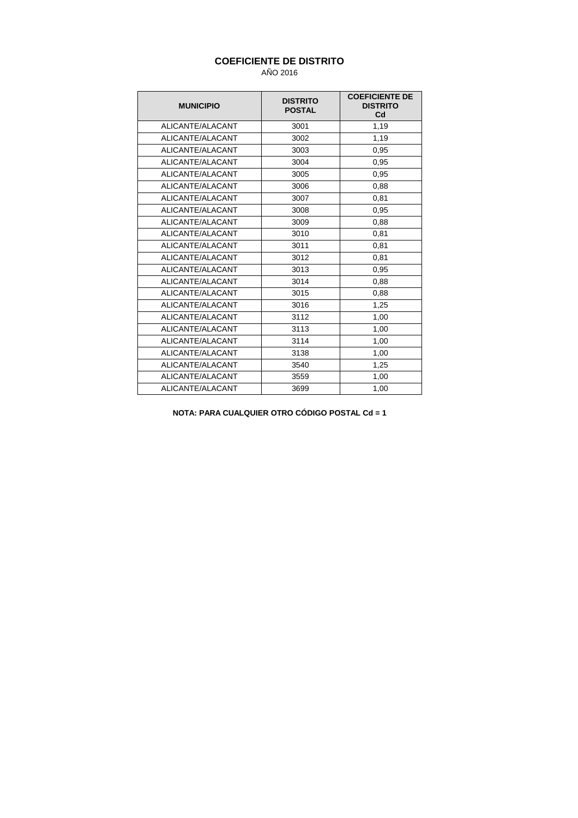### **COEFICIENTE DE DISTRITO**

AÑO 2016

| <b>MUNICIPIO</b> | <b>DISTRITO</b><br><b>POSTAL</b> | <b>COEFICIENTE DE</b><br><b>DISTRITO</b><br>C <sub>d</sub> |
|------------------|----------------------------------|------------------------------------------------------------|
| ALICANTE/ALACANT | 3001                             | 1,19                                                       |
| ALICANTE/ALACANT | 3002                             | 1,19                                                       |
| ALICANTE/ALACANT | 3003                             | 0,95                                                       |
| ALICANTE/ALACANT | 3004                             | 0,95                                                       |
| ALICANTE/ALACANT | 3005                             | 0,95                                                       |
| ALICANTE/ALACANT | 3006                             | 0,88                                                       |
| ALICANTE/ALACANT | 3007                             | 0,81                                                       |
| ALICANTE/ALACANT | 3008                             | 0,95                                                       |
| ALICANTE/ALACANT | 3009                             | 0,88                                                       |
| ALICANTE/ALACANT | 3010                             | 0,81                                                       |
| ALICANTE/ALACANT | 3011                             | 0,81                                                       |
| ALICANTE/ALACANT | 3012                             | 0,81                                                       |
| ALICANTE/ALACANT | 3013                             | 0,95                                                       |
| ALICANTE/ALACANT | 3014                             | 0,88                                                       |
| ALICANTE/ALACANT | 3015                             | 0,88                                                       |
| ALICANTE/ALACANT | 3016                             | 1,25                                                       |
| ALICANTE/ALACANT | 3112                             | 1,00                                                       |
| ALICANTE/ALACANT | 3113                             | 1,00                                                       |
| ALICANTE/ALACANT | 3114                             | 1,00                                                       |
| ALICANTE/ALACANT | 3138                             | 1,00                                                       |
| ALICANTE/ALACANT | 3540                             | 1,25                                                       |
| ALICANTE/ALACANT | 3559                             | 1,00                                                       |
| ALICANTE/ALACANT | 3699                             | 1,00                                                       |

**NOTA: PARA CUALQUIER OTRO CÓDIGO POSTAL Cd = 1**